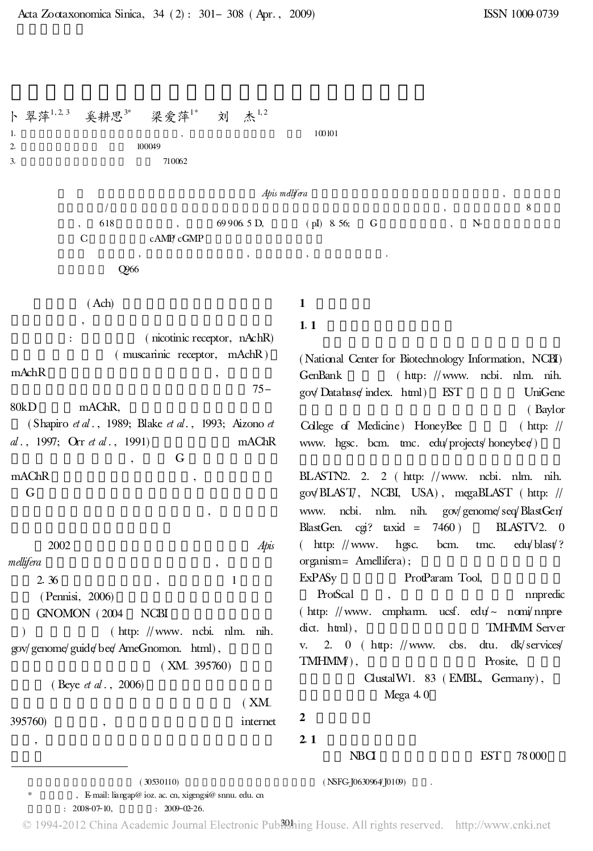$($  30530110)  $($  NSFG-J0630964'J0109) \* , E-mail: liangap@ ioz. ac. cn, xigengsi@ snnu. edu. cn  $: 2008-07-10, : 2009-02-26.$ 卜翠萍 奚耕思3\* 梁旁萍 $1^*$  $1^*$  刘 杰 $1,2$  $1.$  100101 2. 100049 3. 710062 Apis mellifera  $\sim$  8  $\,$ , 618 , 69906.5 D, (pI) 8.56; G, N-C cAMP cGMP , , , . Q966 ( Ach) , : ( nicotinic receptor, nAchR) ( muscarinic receptor, mAchR ) mAchR , 75- 80kD mAChR, ( Shapiro et al., 1989; Blake et al., 1993; Aizono et al., 1997; Orr et al., 1991) mAChR , G mAChR , G , 2002 Apis mellifera 2.36 , 1 ( Pennisi, 2006) GNOMON ( 2004 NCBI )  $(\text{http: } //$ www. ncbi. nlm. nih. gov/genome/guide/bee/AmeGnomon. html), ( XM- 395760) ( Beye *et al.*, 2006) ( XM-395760) , internet , 1 1.1 ( National Center for Biotechnology Information, NCBI) GenBank ( http: //www. ncbi. nlm. nih. gov/Database/index. html) EST UniGene ( Baylor College of Medicine) HoneyBee ( http: // www. hgsc. bcm. tmc. edu/projects/honeybee/) BLASTN2. 2. 2 ( http: //www. ncbi. nlm. nih. gov/BLAST/, NCBI, USA), megaBLAST ( http: // www. ncbi. nlm. nih. gov/genome/seq/BlastGen/ BlastGen. cgi? taxid = 7460 ) BLASTV2. 0 ( http:  $\frac{1}{\sqrt{2}}$  www. hgsc. bcm. tmc. edu/blast? organism= Amellifera) ; ExPASy ProtParam Tool, ProtScal , nnpredic ( http: //www. cmpharm. ucsf. edu/~ nomi/nnpredict. html), TMHMM Server v. 2. 0 ( http: //www. cbs. dtu. dk/services TMHMMP), Prosite, ClustalW1. 83 ( EMBL, Germany) , Mega  $4.0$ 2 2.1 NBCI EST 78 000

© 1994-2012 China Academic Journal Electronic Publething House. All rights reserved. http://www.cnki.net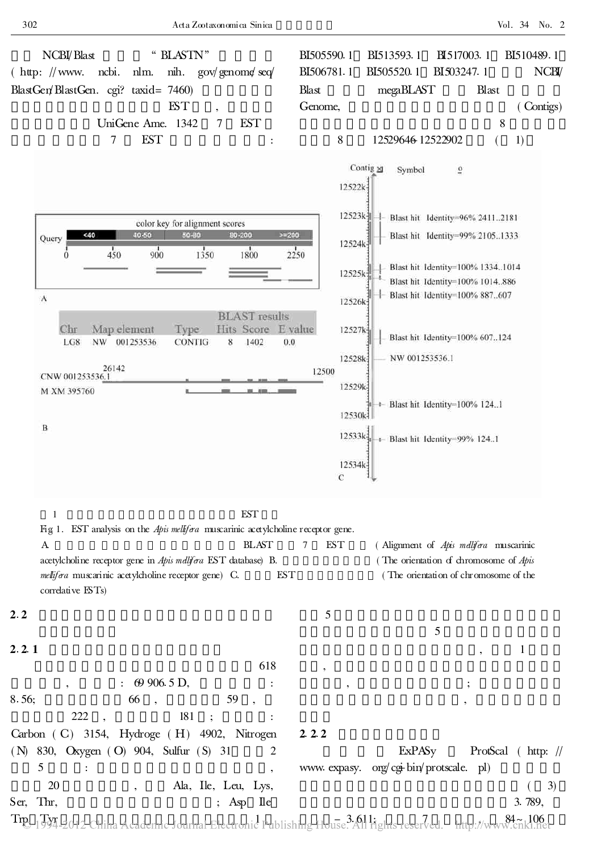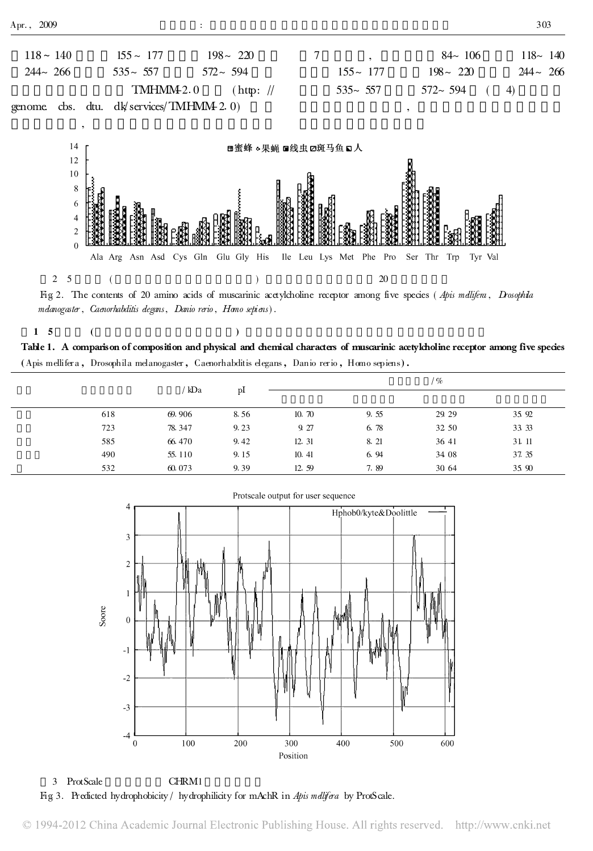



Fig 2. The contents of 20 amino acids of muscarinic acetylcholine receptor among five species (Apis mellifera, Drosophila melanogaster, Caenorhabditis degans, Danio rerio, Hono sepiens).

 $1\quad 5\qquad \qquad ($ 

Table 1. A comparison of composition and physical and chemical characters of muscarinic acetylcholine receptor among five species (Apis mellifer a , Drosophila melanogaster , Caenorhabditis elegans, Danio rerio , Homo sepiens) .

|     | kDa    |      | %     |      |       |       |
|-----|--------|------|-------|------|-------|-------|
|     |        | p1   |       |      |       |       |
| 618 | 69.906 | 8.56 | 10.70 | 9.55 | 29 29 | 35 92 |
| 723 | 78.347 | 9.23 | 9 27  | 6.78 | 32 50 | 33 33 |
| 585 | 66.470 | 9.42 | 12.31 | 8.21 | 36 41 | 31.11 |
| 490 | 55.110 | 9.15 | 10.41 | 6.94 | 34 08 | 37.35 |
| 532 | 60.073 | 9.39 | 12.59 | 7.89 | 30 64 | 35 90 |



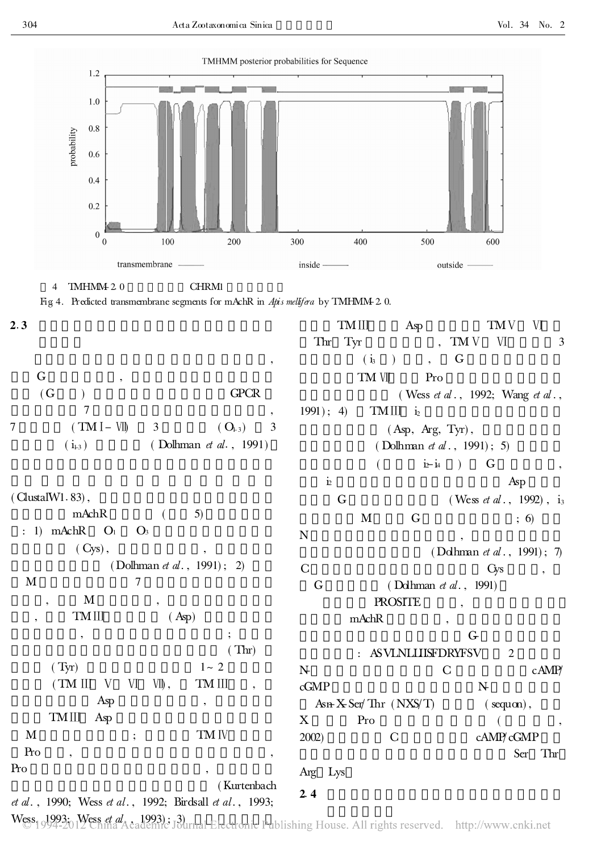TMIII Asp TMV VI Thr Tyr , TM V VI 3

 $( Asp, Arg, Tyr),$ 

( Wess *et al.*, 1992; Wang *et al.*,

Ser Thr

 $(i_3)$ ,  $G$ TM VII Pro



4 TMHMM-2.0 CHRM1

Fig 4. Predicted transmembrane segments for mAchR in Apis mellifera by TMHMM- 20.

| I<br>۰.<br>$\sim$ |
|-------------------|

| G<br>۰        |                                |    |
|---------------|--------------------------------|----|
| (G            | <b>GPCR</b>                    |    |
|               |                                |    |
| $(TM I - VI)$ | 3<br>$(Q_{23})$                | -3 |
| $(1_{1-3})$   | (Dolhman <i>et al.</i> , 1991) |    |

 $( ClustalW1.83)$ ,  $\text{mAchR}$  ( 5) : 1)  $mAchR$   $O<sub>1</sub>$   $O<sub>3</sub>$  $(Cys)$ , ( Dolhman *et al.*, 1991); 2)  $M$  7  $\bf M$  $TMIII$  (Asp) ,  $\frac{1}{2}$ ,  $\frac{1}{2}$ ,  $\frac{1}{2}$ ,  $\frac{1}{2}$ ,  $\frac{1}{2}$ ,  $\frac{1}{2}$ ,  $\frac{1}{2}$ ,  $\frac{1}{2}$ ,  $\frac{1}{2}$ ,  $\frac{1}{2}$ ,  $\frac{1}{2}$ ,  $\frac{1}{2}$ ,  $\frac{1}{2}$ ,  $\frac{1}{2}$ ,  $\frac{1}{2}$ ,  $\frac{1}{2}$ ,  $\frac{1}{2}$ ,  $\frac{1}{2}$ ,  $\frac{1}{2}$ ,  $\frac{1}{2}$ ,

Asp

 $Pro$ , ,

TMIII Asp

 $(Thr)$ (Tyr)  $1 \sim 2$  $(TM III V V W, \overline{W}, \overline{TM II}]$  $M$  ; TM IV Pro , , ( Kurtenbach ( Dolhman *et al.*, 1991); 5)  $(\qquad \qquad \mathrm{i}\!\!\;\mathrm{-i}\!\!\;\mathrm{i}\!\!\;\mathrm{-i}\!\!\;\mathrm{i}\qquad)\qquad \mathrm{G}\qquad \qquad ,$  $\mathbf{\dot{a}}$  and  $\mathbf{\dot{a}}$  and  $\mathbf{\dot{a}}$ G  $($  Wess *et al* ., 1992),  $i_3$  $M$  G ; 6)  $N \qquad ,$ ( Dolhman *et al* ., 1991); 7  $C \hspace{2.6cm} \text{Gy} \hspace{2.8cm} ,$ G ( Dolhman *et al.*, 1991) **PROSITE** mAchR , G- : ASVLNLLIISFDRYFSV 2 N- C cAMP/ cGMP N- $Asn-KSer/Thr$  (  $NXS/T$  ) ( sequon),  $X \t\t Pre$ 2002) C cAMP/cGMP Arg Lys  $2.4$ 

 $1991$ ; 4) TMIII  $i_2$ 

et al., 1990; Wess et al., 1992; Birdsall et al., 1993;

Wess<sub>19</sub>993; Wess *et al* . 1993); 3)<br>Wess<sub>1994-2012 China Academic Journal Electronic Publishing House. All rights reserved. http://www.cnki.net</sub>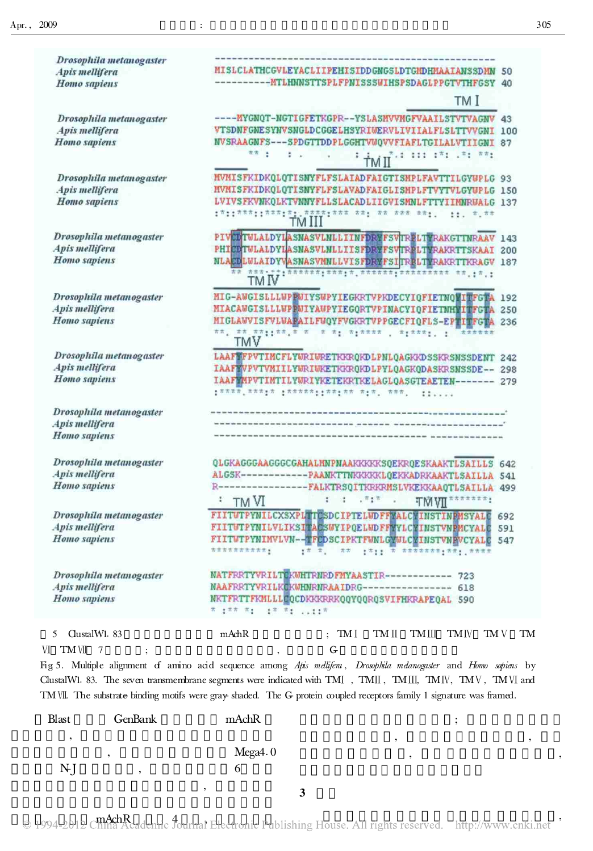| Drosophila metanogaster<br>Apis mellifera                 | MISLCLATHCGVLEYACLIIPEHISIDDGNGSLDTGMDHMAAIANSSDMN 50                                                                                                                                                                                                                                                                                                                                                                     |
|-----------------------------------------------------------|---------------------------------------------------------------------------------------------------------------------------------------------------------------------------------------------------------------------------------------------------------------------------------------------------------------------------------------------------------------------------------------------------------------------------|
| Homo sapiens                                              | TM I                                                                                                                                                                                                                                                                                                                                                                                                                      |
|                                                           |                                                                                                                                                                                                                                                                                                                                                                                                                           |
| Drosophila metanogaster<br>Apis mellifera<br>Homo sapiens | ---- MYGNQT-NGTIGFETKGPR--YSLASMVVMGFVAAILSTVTVAGNV 43<br>VTSDNFGNESYNVSNGLDCGGELHSYRIWERVLIVIIALFLSLTTVVGNI 100<br>NVSRAAGNFS---SPDGTTDDPLGGHTVWQVVFIAFLTGILALVTIIGNI 87                                                                                                                                                                                                                                                 |
|                                                           | 世界 士<br>$\frac{1}{2}$<br>1 1 2 3 4 111 171 271 771<br>×.                                                                                                                                                                                                                                                                                                                                                                  |
| Drosophila metanogaster                                   | MVMISFKIDKQLQTISNYFLFSLAIADFAIGTISMPLFAVTTILGYWPLG 93                                                                                                                                                                                                                                                                                                                                                                     |
| Apis mellifera                                            | MVMISFKIDKQLQTISNYFLFSLAVADFAIGLISNPLFTVYTVLGYWPLG 150                                                                                                                                                                                                                                                                                                                                                                    |
| Homo sapiens                                              | LVIVSFKVNKOLKTVNNYFLLSLACADLIIGVISMNLFTTYIIMNRWALG 137<br>22.575                                                                                                                                                                                                                                                                                                                                                          |
| Drosophila metanogaster                                   | PIVEDTULALDYLASNASVLNLLIINFDRXFSVTRELTYRAKGTTNRAAV 143                                                                                                                                                                                                                                                                                                                                                                    |
| Apis mellifera                                            | PHICOTULALDYLASNASVLNLLIISFDRYFSVIRPLTYRAKRTTSKAAI 200                                                                                                                                                                                                                                                                                                                                                                    |
| Homo sapiens                                              | NLAEDLULAIDYVASNASVMULLVISFDRYFSITRPLITRAKRTTKRAGV 187<br>$\overline{11}$ $\overline{11}$ $\overline{11}$ $\overline{11}$ $\overline{11}$ $\overline{11}$ $\overline{11}$ $\overline{11}$ $\overline{11}$ $\overline{11}$ $\overline{11}$ $\overline{11}$ $\overline{11}$ $\overline{11}$ $\overline{11}$ $\overline{11}$ $\overline{11}$ $\overline{11}$ $\overline{11}$ $\overline{11}$ $\overline{11}$ $\overline{11}$ |
| Drosophila metanogaster                                   | MIG-AUGISLLLUPPUIYSUPYIEGKRTVPKDECYIQFIETNQVITFGTA<br>192                                                                                                                                                                                                                                                                                                                                                                 |
| Apis mellifera                                            | MIACAWGISLLLWPPWIYAWPYIEGQRTVPINACYIQFIETNHYITFGTA<br>250                                                                                                                                                                                                                                                                                                                                                                 |
| Homo sapiens                                              | MIGLAWVISFVLWAPAILFWQYFVGKRTVPPGECFIQFLS-EPTITFGTA<br>236<br>**, ** **::**,* * * *: *:**** , *:***; ;<br>******<br>TMV                                                                                                                                                                                                                                                                                                    |
| Drosophila metanogaster                                   | LAAFVFPVTIMCFLYWRIWRETKKROKDLPNLOAGKKDSSKRSMSSDENT 242                                                                                                                                                                                                                                                                                                                                                                    |
| Apis mellifera                                            | IAAFYVPVTVMIILYWRIWKETKKRQKDLPYLQAGKQDASKRSNSSDE-- 298                                                                                                                                                                                                                                                                                                                                                                    |
| Homo sapiens                                              | IAAFVMPVTIMTILYWRIYKETEKRTKELAGLQASGTEAETEN------- 279<br>11                                                                                                                                                                                                                                                                                                                                                              |
| Drosophila metanogaster                                   |                                                                                                                                                                                                                                                                                                                                                                                                                           |
| Apis mellifera                                            |                                                                                                                                                                                                                                                                                                                                                                                                                           |
| Homo sapiens                                              |                                                                                                                                                                                                                                                                                                                                                                                                                           |
| Drosophila metanogaster                                   | QLGKAGGGAAGGGCGAHALMNPNAAKKKKKSQEKRQESKAAKTLSAILLS<br>642                                                                                                                                                                                                                                                                                                                                                                 |
| Apis mellifera                                            | ALGSK------------- PAANKTTNKKKKKLQEKKADRKAAKTLSAILLA 541                                                                                                                                                                                                                                                                                                                                                                  |
| Homo sapiens                                              | ----------FALKTRSQITKRKRMSLVKEKKAAQTLSAILLA 499                                                                                                                                                                                                                                                                                                                                                                           |
|                                                           | 75.7<br>TM <sub>VI</sub><br>÷,<br><b>TMVII</b>                                                                                                                                                                                                                                                                                                                                                                            |
| Drosophila metanogaster                                   | FIITUTPYNILCXSXPL TESDCIPTELUDFFVALC INSTINPMSYALE<br>692                                                                                                                                                                                                                                                                                                                                                                 |
| Apis mellifera                                            | FIITWTPYNILVLIKSITACSWYIPQELWDFFYYLCYINSTVNPMCYALE<br>591                                                                                                                                                                                                                                                                                                                                                                 |
| Homo sapiens                                              | FIITWTPYNIMVLVN--TFLDSCIPKTFWNLGWULCYINSTVNPVCYALC<br>547<br>$\pm \pi$ $\pi$ , $\pi \pi$ $\pm \pi$ $\pm \pi$ $\pi$ $\pm \pi$ $\pm \pi$ $\pm \pi$ $\pm \pi$ $\pm \pi$ $\pm \pi$ $\pm \pi$ $\pm \pi$ $\pm \pi$<br>**********                                                                                                                                                                                                |
| Drosophila metanogaster                                   | NATFRRTYVRILTEKWHTRNRDFMYAASTIR------------ 723                                                                                                                                                                                                                                                                                                                                                                           |
| Apis mellifera                                            | NAAFRRTYVRILKCKWHNRNRAAIDRG---------------- 618                                                                                                                                                                                                                                                                                                                                                                           |
| Homo sapiens                                              | NKTFRTTFKMLLLCQCDKKKRRKQQYQQRQSVIFHKRAPEQAL 590<br><b>本 生本本 木生 三生字 木生 1000000</b>                                                                                                                                                                                                                                                                                                                                         |
| ClustalW1. 83<br>5                                        | mAchR<br>$; \mathbf{TM}$ $[$<br>TMIV<br>TM V<br>TM II<br>TMIII<br>TM                                                                                                                                                                                                                                                                                                                                                      |
| VI TM VII<br>$\overline{7}$                               | ${\mathbb G}$                                                                                                                                                                                                                                                                                                                                                                                                             |
|                                                           |                                                                                                                                                                                                                                                                                                                                                                                                                           |
|                                                           | Fig 5. Multiple alignment of amino acid sequence among Apis malifera, Drosophila malanogaster and Homo sapiens by<br>ClustalWl. 83. The seven transmembrane segments were indicated with TMI, TMII, TMIII, TMIV, TMV, TMVI and                                                                                                                                                                                            |
|                                                           |                                                                                                                                                                                                                                                                                                                                                                                                                           |

TMVI. The substrate- binding motifs were gray- shaded. The G- protein coupled receptors family 1 signature was framed.

| Blast       | GenBank | mAchR   |  |
|-------------|---------|---------|--|
|             |         |         |  |
|             |         | Mega4.0 |  |
| $N$ ]<br>., |         |         |  |
|             |         |         |  |
|             |         |         |  |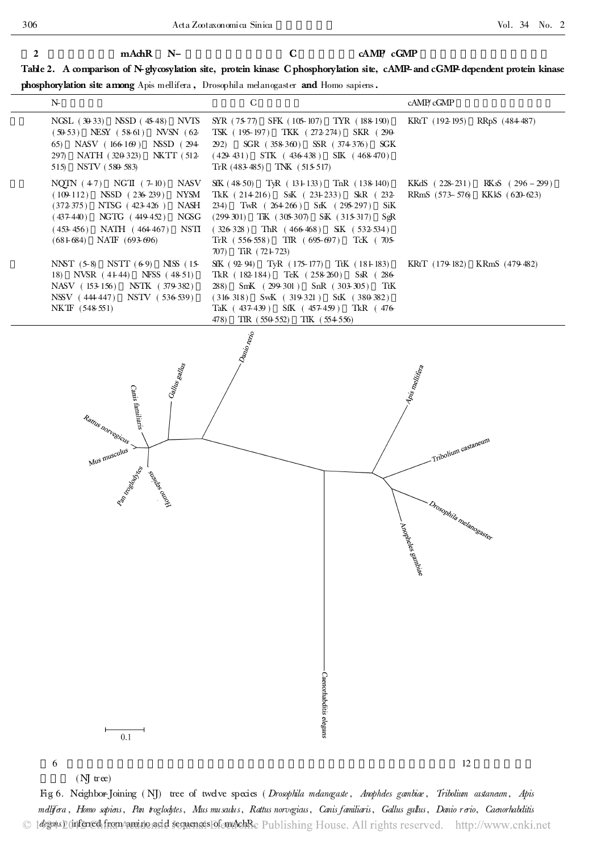## 2 mAchR N- C cAMP cGMP

Table 2. A comparison of N-glycosylation site, protein kinase C phosphorylation site, cAMP-and cGMP-dependent protein kinase

phosphorylation site among Apis mellifera , Drosophila melanogaster and Homo sapiens.

| $N_{-}$                                                                                                                                                                                                                                          | C                                                                                                                                                                                                                                                                                                      | cAMP/cGMP                                                                                      |
|--------------------------------------------------------------------------------------------------------------------------------------------------------------------------------------------------------------------------------------------------|--------------------------------------------------------------------------------------------------------------------------------------------------------------------------------------------------------------------------------------------------------------------------------------------------------|------------------------------------------------------------------------------------------------|
| NGSL (30-33) NSSD (45-48) NVTS<br>$(50-53)$ NESY $(58-61)$<br>$NVSN$ (62-<br>65) NASV $(166169)$<br>NSSD (294<br>297) NATH (320-323)<br>NKTT (512-<br>515) NSTV (580-583)                                                                        | SYR (75-77) SFK (105-107) TYR (188-190)<br>TSK (195-197) TKK (272-274) SKR (290-<br>SGR (358-360) SSR (374-376) SGK<br>292)<br>$(429-431)$ STK $(436-438)$ SIK $(468-470)$<br>TrR (483-485) TNK (515-517)                                                                                              | KRtT (192-195) RRpS (484-487)                                                                  |
| NASV<br>NQTN $(47)$ NGTI $(7-10)$<br><b>NYSM</b><br>$(109-112)$ NSSD $(236-239)$<br>NTSG (423-426)<br>NASH<br>(372375)<br>NGSG<br>$(437-440)$<br>NGTG (449-452)<br><b>NSTI</b><br>NATH (464467)<br>$(453-456)$<br>NATF (693-696)<br>$(68 + 684)$ | SfK (48-50) TyR (131-133) TnR (138-140)<br>TkK (214-216) SsK (231-233)<br>SkR (232-<br>TwR $(264266)$ SrK $(295-297)$<br>234)<br>SiK<br>$(299-301)$ TK $(305-307)$ SK $(315-317)$<br>SgR<br>$(326-328)$ ThR $(466-468)$<br>SiK (532-534)<br>TrR (556-558) TfR (695-697) TcK (705-<br>707) TiR (72+723) | $RKsS$ (296 - 299)<br>KKdS (228-231)<br>RRmS (573–576)<br>KKkS (620-623)                       |
| NNST (5-8) NSTT (6-9) NISS (15-<br>18) NVSR (41-44) NFSS (48-51)<br>NASV (153-156) NSTK (379-382)<br>NSSV (444447)<br>NSTV (536-539)<br>NKTF (548-551)                                                                                           | SfK $(92.94)$ TyR $(175-177)$ TtK $(181-83)$<br>TkR (182-184) TeK (258-260)<br>$S_{\rm sR}$ (286-<br>288) SmK (299-301) SnR (303-305)<br>TtK<br>$(316-318)$ SwK $(319-321)$ StK $(380-382)$<br>TaK (437-439) SfK (457-459) TkR (476-<br>TfR (550-552) TfK (554-556)<br>478)                            | KRtT (179-182) KRmS (479-482)                                                                  |
| Gallus gallus<br>$\rm{Canis}$ familiar<br>is $\cdot$<br>Rattus norregicus<br>Mus musculus<br>Railway Maria                                                                                                                                       | Danio renio<br>Caenorhabditis elegans                                                                                                                                                                                                                                                                  | Apis mellifera<br>Tribolium castaneum<br>- Drosophila melanogaster<br>- Anopheles gambiae<br>- |
| 0.1                                                                                                                                                                                                                                              |                                                                                                                                                                                                                                                                                                        |                                                                                                |

 $\sim$  12

Fig 6. Neighbor-Joining (NJ) tree of twelve species (Drosophila melanogaste, Anopheles gambiae, Tribolium astaneum, Apis mellifera, Homo sapiens, Pan troglodytes, Mus mu saulus, Rattus norvegiaus, Canis familiaris, Gallus gallus, Danio rerio, Caenorhabditis © 14224520 inferred from amino acid sequences of emachRe Publishing House. All rights reserved. http://www.cnki.net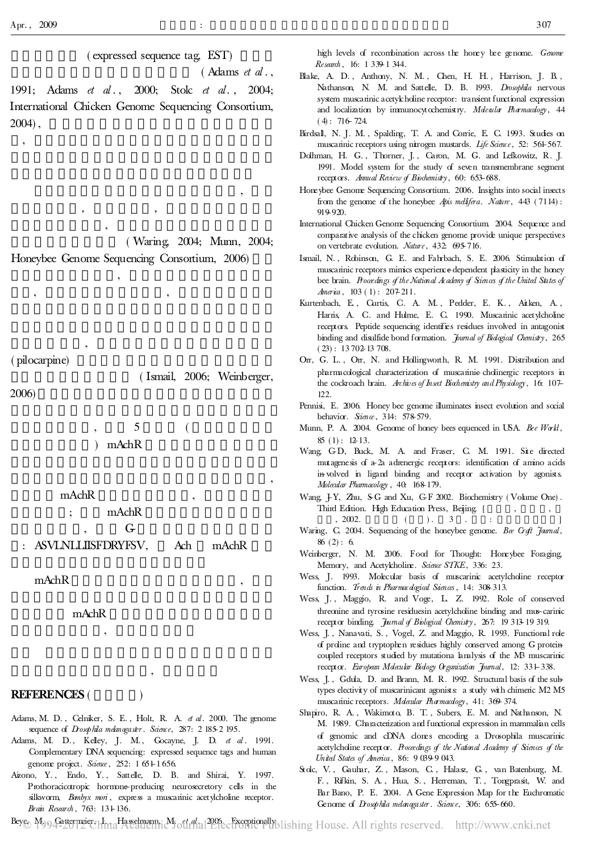,

( expressed sequence tag, EST)

 $($  Adams *et al* ..

,

1991; Adams *et al.*, 2000; Stolc *et al.*, 2004; International Chicken Genome Sequencing Consortium, 2004) ,

( Waring, 2004; Munn, 2004;

Honeybee Genome Sequencing Consortium, 2006)

, , ,

,

, ,

,

( pilocarpine)

( Ismail, 2006; Weinberger,

2006)

) mAchR

mAchR ,

; mAchR

 $G_{\text{r}}$ : ASVLNLLIISFDRYFSV, Ach mAchR

mAchR ,

mAchR

,

## REFERENCES (

Adams, M. D., Celniker, S. E., Holt, R. A. et al. 2000. The genome sequence of Drosophila melanogaster. Science, 287: 2 185-2 195.

,

- Adams, M. D., Kelley, J. M., Gocayne, J. D. et al. 1991. Complementary DNA sequencing: expressed sequence tags and human genome project. Science, 252: 1 651-1656.
- Aizono, Y., Endo, Y., Sattelle, D. B. and Shirai, Y. 1997. Prothoracicotropic hormone-producing neurosecretory cells in the silkworm, Bombyx mon<sup>i</sup>, express a muscarinic acetylcholine receptor. Brain Research, 763: 131-136.

Blake, A. D., Anthony, N. M., Chen, H. H., Harrison, J. B., Nathanson, N. M. and Sattelle, D. B. 1993. Drosophila nervous system muscarinic acetylcholine receptor: transient functional expression and localization by immunocytochemistry. Moleaular Fharmacology, 44  $(4)$ : 716-724.

Birdsall, N. J. M. , Spalding, T. A. and Corrie, E. C. 1993. Studies on muscarinic receptors using nitrogen mustards. Life Science, 52: 561-567.

- Dolhman, H. G. , Thorner, J. , Caron, M. G. and Lefkowitz, R. J. 1991. Model system for the study of seven transmembrane segment receptors. Annual Review of Biochemistry, 60: 653-688.
- Honeybee Genome Sequencing Consortium. 2006. Insights into social insects from the genome of the honeybee Apis mellifera. Nature, 443 (7114): 919-920.
- International Chicken Genome Sequencing Consortium. 2004. Sequence and comparative analysis of the chicken genome provide unique perspectives on vertebrate evolution. Nature, 432: 695-716.
- Ismail, N. , Robinson, G. E. and Fahrbach, S. E. 2006. Stimulation of muscarinic receptors mimics experience-dependent plasticity in the honey bee brain. Proceedings of the National Academy of Sciences of the United States of America,  $103(1)$ :  $207-211$ .
- Kurtenbach, E. , Curtis, C. A. M. , Pedder, E. K. , Aitken, A. , Harris, A. C. and Hulme, E. C. 1990. Muscarinic acetylcholine receptors. Peptide sequencing identifies residues involved in antagonist binding and disulfide bond formation. Journal of Bidagical Chemistry, 265  $(23): 1370213708.$
- Orr, G. L., Orr, N. and Hollingworth, R. M. 1991. Distribution and pharmacological characterization of muscarinie- cholinergic receptors in the cockroach brain. Archives of Insect Biochemistry and Physiology, 16: 107-122.
- Pennisi, E. 2006. Honey bee genome illuminates insect evolution and social behavior. Sience, 314: 578-579.
- Munn, P. A. 2004. Genome of honey bees equenced in USA. Bee World,  $85(1): 12-13.$
- Wang, C-D, Buck, M. A. and Fraser, C. M. 1991. Site directed mutagenesis of a-2a adrenergic receptors: identification of amino acids in-volved in ligand binding and receptor activation by agonists. Molecular Pharmacology, 40: 168-179.
- Wang, J-Y, Zhu, S-G and Xu, G-F 2002. Biochemistry (Volume One). Third Edition. High Education Press, Beijing. [ , 2002. ( ). 3 . :
- Waring, C. 2004. Sequencing of the honeybee genome. Bee Creft Jamal,  $86(2): 6.$
- Weinberger, N. M. 2006. Food for Thought: Honeybee Foraging, Memory, and Acetylcholine. Science STKE, 336: 23.
- Wess, J. 1993. Molecular basis of muscarinic acetylcholine receptor function. Trends in Pharmac dogical Saences, 14: 308-313.
- Wess, J. , Maggio, R. and Voge, L. Z. 1992. Role of conserved threonine and tyrosine residuesin acetylcholine binding and mus-carinic receptor binding. Jumal of Biological Chemistry, 267: 19 313-19 319.
- Wess, J. , Nanavati, S. , Vogel, Z. and Maggio, R. 1993. Functional role of proline and tryptophen residues highly conserved among G proteincoupled receptors studied by mutationa lanalysis of the M3 muscarinic receptor. European Mdecular Biology Organization Journal, 12: 331-338.

Wess, J. , Gdula, D. and Brann, M. R. 1992. Structural basis of the subtypes electivity of muscarinicant agonists: a study with chimeric M2 M5 muscarinic receptors. Mdecular Pharmacology, 41: 369-374.

- Shapiro, R. A. , Wakimoto, B. T. , Subers, E. M. and Nathanson, N. M. 1989. Characterization and functional expression in mammalian cells of genomic and cDNA clones encoding a Drosophila muscarinic acetylcholine receptor. Proceedings of the National Academy of Sciences of the United States of America , 86: 9 039-9 043.
- Stolc, V. , Gauhar, Z. , Mason, C. , Halasz, G. , van Batenburg, M. F. , Rifkin, S. A. , Hua, S. , Herreman, T. , Tongprasit, W. and Bar Bano, P. E. 2004. A Gene Expression Map for the Euchromatic Genome of Drosophila melanogaster. Science, 306: 655-660.

,

, 5 (